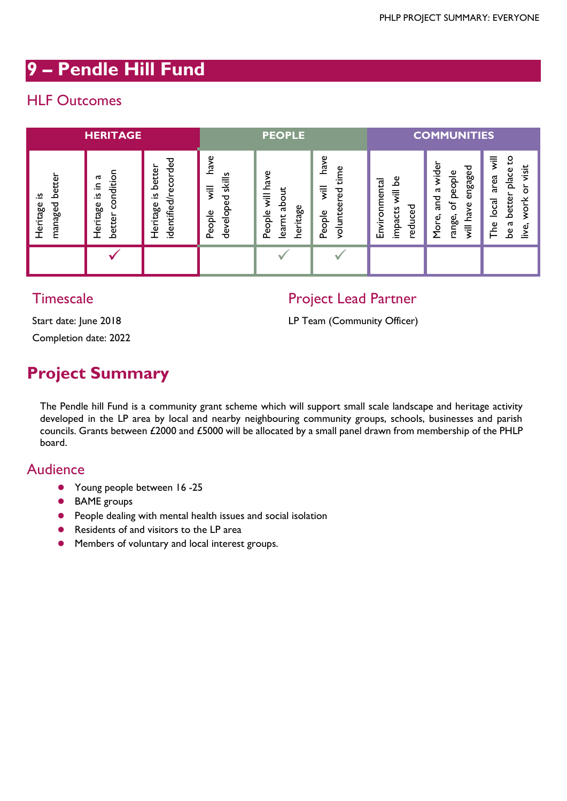# **9 – Pendle Hill Fund**

# HLF Outcomes

| <b>HERITAGE</b>                     |                                                  |                                                           | <b>PEOPLE</b>                                                               |                                                                              |                                                                      | <b>COMMUNITIES</b>                                                  |                                                                                                                |                                                                                                                               |
|-------------------------------------|--------------------------------------------------|-----------------------------------------------------------|-----------------------------------------------------------------------------|------------------------------------------------------------------------------|----------------------------------------------------------------------|---------------------------------------------------------------------|----------------------------------------------------------------------------------------------------------------|-------------------------------------------------------------------------------------------------------------------------------|
| better<br>.≌<br>managed<br>Heritage | condition<br>ದ<br>크.<br>.≌<br>Heritage<br>better | ecorded<br>better<br>identified/r<br>n<br>$-$<br>Heritage | have<br>skills<br>$\overline{\overline{z}}$<br>᠊ᠣ<br>ω<br>develop<br>People | have<br>$\overline{\overline{z}}$<br>ode<br>itage<br>People<br>learnt<br>her | have<br>time<br>$\overline{\overline{z}}$<br>ھُ<br>volunte<br>People | ہے<br>vironmental<br>₹<br>ಕೆ<br>ដ<br>ن<br>impa<br>っ<br>ō<br>모<br>Ď, | wider<br>engaged<br>people<br>$\mathfrak{a}$<br>pue<br>Su<br>৳<br>ያ<br>ة.<br>م<br>range,<br>More,<br>$\bar{m}$ | $\overline{\overline{s}}$<br>S,<br>visit<br>place<br>area<br>о<br>better<br>work<br>$\overline{c}$ al<br>be a<br>The<br>live, |
|                                     |                                                  |                                                           |                                                                             |                                                                              |                                                                      |                                                                     |                                                                                                                |                                                                                                                               |

### **Timescale**

### Project Lead Partner

Start date: June 2018

Completion date: 2022

#### LP Team (Community Officer)

# **Project Summary**

The Pendle hill Fund is a community grant scheme which will support small scale landscape and heritage activity developed in the LP area by local and nearby neighbouring community groups, schools, businesses and parish councils. Grants between £2000 and £5000 will be allocated by a small panel drawn from membership of the PHLP board.

### Audience

- Young people between 16 -25
- BAME groups
- **•** People dealing with mental health issues and social isolation
- **•** Residents of and visitors to the LP area
- Members of voluntary and local interest groups.